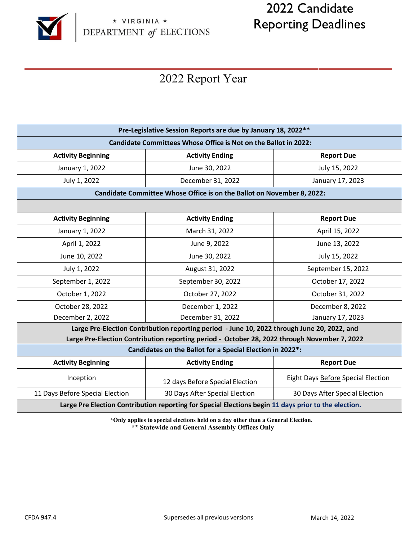

# 2022 Candidate Reporting Deadlines

## 2022 Report Year

| Pre-Legislative Session Reports are due by January 18, 2022 **                                       |                                 |                                    |
|------------------------------------------------------------------------------------------------------|---------------------------------|------------------------------------|
| Candidate Committees Whose Office is Not on the Ballot in 2022:                                      |                                 |                                    |
| <b>Activity Beginning</b>                                                                            | <b>Activity Ending</b>          | <b>Report Due</b>                  |
| January 1, 2022                                                                                      | June 30, 2022                   | July 15, 2022                      |
| July 1, 2022                                                                                         | December 31, 2022               | January 17, 2023                   |
| Candidate Committee Whose Office is on the Ballot on November 8, 2022:                               |                                 |                                    |
|                                                                                                      |                                 |                                    |
| <b>Activity Beginning</b>                                                                            | <b>Activity Ending</b>          | <b>Report Due</b>                  |
| January 1, 2022                                                                                      | March 31, 2022                  | April 15, 2022                     |
| April 1, 2022                                                                                        | June 9, 2022                    | June 13, 2022                      |
| June 10, 2022                                                                                        | June 30, 2022                   | July 15, 2022                      |
| July 1, 2022                                                                                         | August 31, 2022                 | September 15, 2022                 |
| September 1, 2022                                                                                    | September 30, 2022              | October 17, 2022                   |
| October 1, 2022                                                                                      | October 27, 2022                | October 31, 2022                   |
| October 28, 2022                                                                                     | December 1, 2022                | December 8, 2022                   |
| December 2, 2022                                                                                     | December 31, 2022               | January 17, 2023                   |
| Large Pre-Election Contribution reporting period - June 10, 2022 through June 20, 2022, and          |                                 |                                    |
| Large Pre-Election Contribution reporting period - October 28, 2022 through November 7, 2022         |                                 |                                    |
| Candidates on the Ballot for a Special Election in 2022*:                                            |                                 |                                    |
| <b>Activity Beginning</b>                                                                            | <b>Activity Ending</b>          | <b>Report Due</b>                  |
| Inception                                                                                            | 12 days Before Special Election | Eight Days Before Special Election |
| 11 Days Before Special Election                                                                      | 30 Days After Special Election  | 30 Days After Special Election     |
| Large Pre Election Contribution reporting for Special Elections begin 11 days prior to the election. |                                 |                                    |

**\*Only applies to special elections held on a day other than a General Election. \*\* Statewide and General Assembly Offices Only**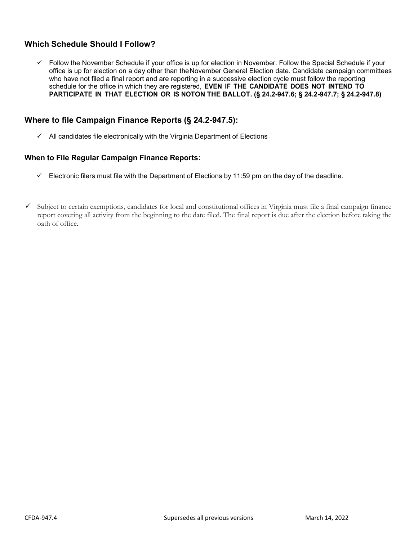## **Which Schedule Should I Follow?**

 $\checkmark$  Follow the November Schedule if your office is up for election in November. Follow the Special Schedule if your office is up for election on a day other than the November General Election date. Candidate campaign committees who have not filed a final report and are reporting in a successive election cycle must follow the reporting schedule for the office in which they are registered, **EVEN IF THE CANDIDATE DOES NOT INTEND TO PARTICIPATE IN THAT ELECTION OR IS NOTON THE BALLOT. (§ 24.2-947.6; § 24.2-947.7; § 24.2-947.8)**

## **Where to file Campaign Finance Reports (§ 24.2-947.5):**

 $\checkmark$  All candidates file electronically with the Virginia Department of Elections

#### **When to File Regular Campaign Finance Reports:**

- $\checkmark$  Electronic filers must file with the Department of Elections by 11:59 pm on the day of the deadline.
- $\checkmark$  Subject to certain exemptions, candidates for local and constitutional offices in Virginia must file a final campaign finance report covering all activity from the beginning to the date filed. The final report is due after the election before taking the oath of office.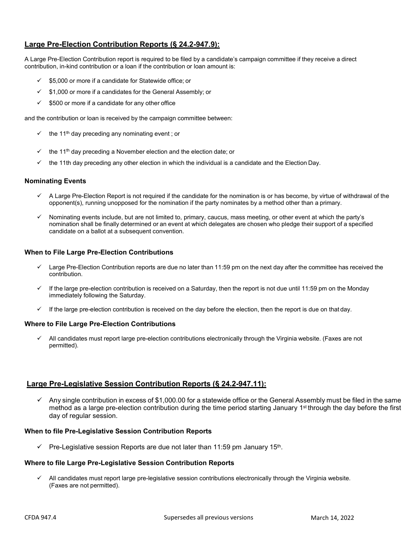## **Large Pre-Election Contribution Reports (§ 24.2-947.9):**

A Large Pre-Election Contribution report is required to be filed by a candidate's campaign committee if they receive a direct contribution, in-kind contribution or a loan if the contribution or loan amount is:

- \$5,000 or more if a candidate for Statewide office; or
- $\checkmark$  \$1,000 or more if a candidates for the General Assembly; or
- $\checkmark$  \$500 or more if a candidate for any other office

and the contribution or loan is received by the campaign committee between:

- $\checkmark$  the 11<sup>th</sup> day preceding any nominating event; or
- the 11<sup>th</sup> day preceding a November election and the election date; or
- $\checkmark$  the 11th day preceding any other election in which the individual is a candidate and the Election Day.

#### **Nominating Events**

- A Large Pre-Election Report is not required if the candidate for the nomination is or has become, by virtue of withdrawal of the opponent(s), running unopposed for the nomination if the party nominates by a method other than a primary.
- $\checkmark$  Nominating events include, but are not limited to, primary, caucus, mass meeting, or other event at which the party's nomination shall be finally determined or an event at which delegates are chosen who pledge their support of a specified candidate on a ballot at a subsequent convention.

#### **When to File Large Pre-Election Contributions**

- Large Pre-Election Contribution reports are due no later than 11:59 pm on the next day after the committee has received the contribution.
- $\checkmark$  If the large pre-election contribution is received on a Saturday, then the report is not due until 11:59 pm on the Monday immediately following the Saturday.
- If the large pre-election contribution is received on the day before the election, then the report is due on that day.

#### **Where to File Large Pre-Election Contributions**

 $\checkmark$  All candidates must report large pre-election contributions electronically through the Virginia website. (Faxes are not permitted).

#### **Large Pre-Legislative Session Contribution Reports (§ 24.2-947.11):**

 $\checkmark$  Any single contribution in excess of \$1,000.00 for a statewide office or the General Assembly must be filed in the same method as a large pre-election contribution during the time period starting January 1<sup>st</sup> through the day before the first day of regular session.

#### **When to file Pre-Legislative Session Contribution Reports**

 $\checkmark$  Pre-Legislative session Reports are due not later than 11:59 pm January 15<sup>th</sup>.

#### **Where to file Large Pre-Legislative Session Contribution Reports**

 All candidates must report large pre-legislative session contributions electronically through the Virginia website. (Faxes are not permitted).